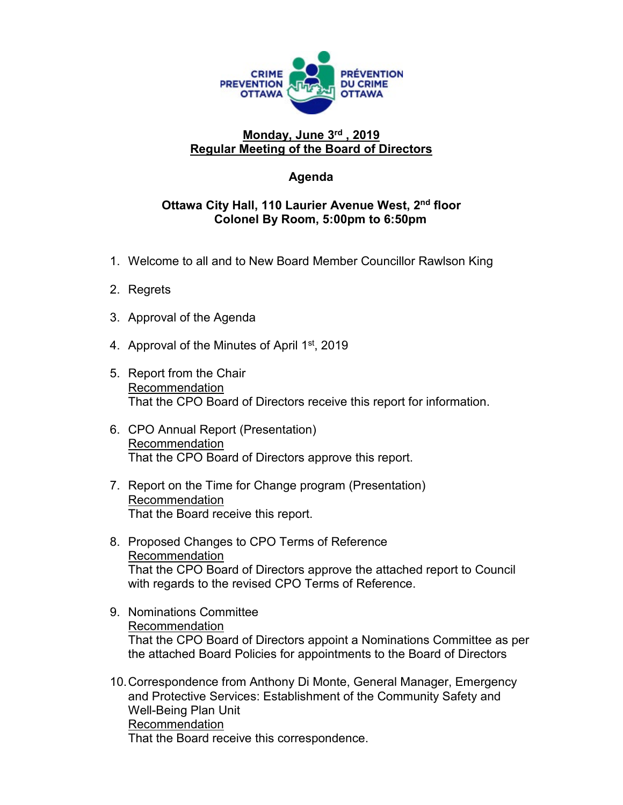

## **Monday, June 3rd , 2019 Regular Meeting of the Board of Directors**

## **Agenda**

## **Ottawa City Hall, 110 Laurier Avenue West, 2nd floor Colonel By Room, 5:00pm to 6:50pm**

- 1. Welcome to all and to New Board Member Councillor Rawlson King
- 2. Regrets
- 3. Approval of the Agenda
- 4. Approval of the Minutes of April 1<sup>st</sup>, 2019
- 5. Report from the Chair Recommendation That the CPO Board of Directors receive this report for information.
- 6. CPO Annual Report (Presentation) Recommendation That the CPO Board of Directors approve this report.
- 7. Report on the Time for Change program (Presentation) Recommendation That the Board receive this report.
- 8. Proposed Changes to CPO Terms of Reference Recommendation That the CPO Board of Directors approve the attached report to Council with regards to the revised CPO Terms of Reference.
- 9. Nominations Committee Recommendation That the CPO Board of Directors appoint a Nominations Committee as per the attached Board Policies for appointments to the Board of Directors
- 10.Correspondence from Anthony Di Monte, General Manager, Emergency and Protective Services: Establishment of the Community Safety and Well-Being Plan Unit Recommendation That the Board receive this correspondence.